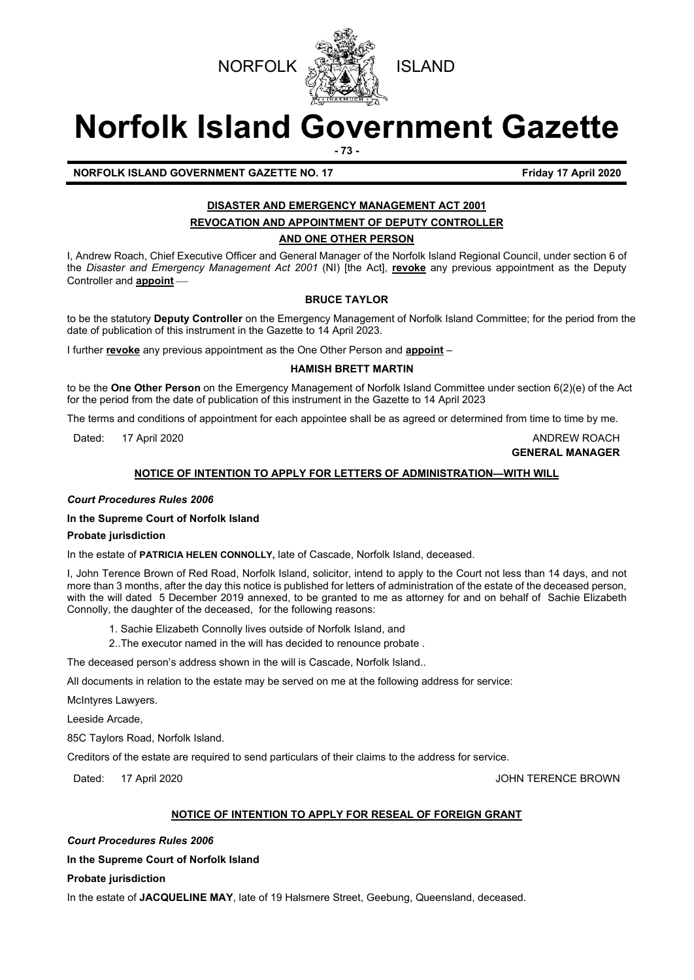

# **Norfolk Island Government Gazette**

**- 73 -**

**NORFOLK ISLAND GOVERNMENT GAZETTE NO. 17 Friday 17 April 2020**

## **DISASTER AND EMERGENCY MANAGEMENT ACT 2001 REVOCATION AND APPOINTMENT OF DEPUTY CONTROLLER**

**AND ONE OTHER PERSON**

I, Andrew Roach, Chief Executive Officer and General Manager of the Norfolk Island Regional Council, under section 6 of the *Disaster and Emergency Management Act 2001* (NI) [the Act], **revoke** any previous appointment as the Deputy Controller and **appoint**

### **BRUCE TAYLOR**

to be the statutory **Deputy Controller** on the Emergency Management of Norfolk Island Committee; for the period from the date of publication of this instrument in the Gazette to 14 April 2023.

I further **revoke** any previous appointment as the One Other Person and **appoint** –

### **HAMISH BRETT MARTIN**

to be the **One Other Person** on the Emergency Management of Norfolk Island Committee under section 6(2)(e) of the Act for the period from the date of publication of this instrument in the Gazette to 14 April 2023

The terms and conditions of appointment for each appointee shall be as agreed or determined from time to time by me.

Dated: 17 April 2020 **ANDREW ROACH** 

**GENERAL MANAGER**

### **NOTICE OF INTENTION TO APPLY FOR LETTERS OF ADMINISTRATION—WITH WILL**

### *Court Procedures Rules 2006*

### **In the Supreme Court of Norfolk Island**

### **Probate jurisdiction**

In the estate of **PATRICIA HELEN CONNOLLY,** late of Cascade, Norfolk Island, deceased.

I, John Terence Brown of Red Road, Norfolk Island, solicitor, intend to apply to the Court not less than 14 days, and not more than 3 months, after the day this notice is published for letters of administration of the estate of the deceased person, with the will dated 5 December 2019 annexed, to be granted to me as attorney for and on behalf of Sachie Elizabeth Connolly, the daughter of the deceased, for the following reasons:

- 1. Sachie Elizabeth Connolly lives outside of Norfolk Island, and
- 2..The executor named in the will has decided to renounce probate .

The deceased person's address shown in the will is Cascade, Norfolk Island..

All documents in relation to the estate may be served on me at the following address for service:

McIntyres Lawyers.

Leeside Arcade,

85C Taylors Road, Norfolk Island.

Creditors of the estate are required to send particulars of their claims to the address for service.

Dated: 17 April 2020 **Dates:** 17 April 2020

### **NOTICE OF INTENTION TO APPLY FOR RESEAL OF FOREIGN GRANT**

*Court Procedures Rules 2006*

**In the Supreme Court of Norfolk Island**

**Probate jurisdiction**

In the estate of **JACQUELINE MAY**, late of 19 Halsmere Street, Geebung, Queensland, deceased.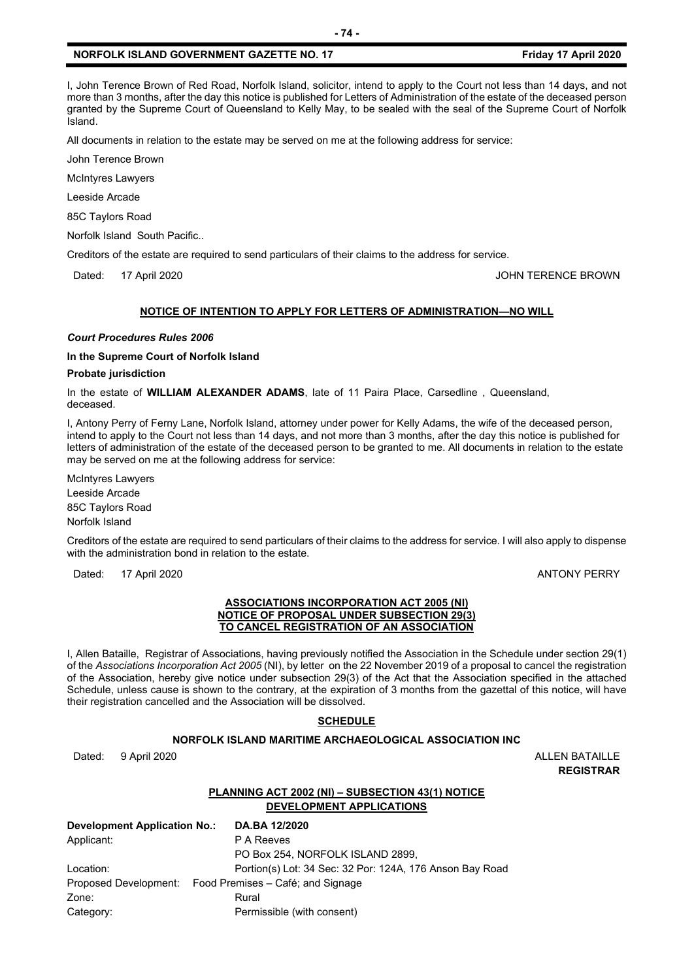### **NORFOLK ISLAND GOVERNMENT GAZETTE NO. 17 FILM APPLIE 12020 Film April 2020**

I, John Terence Brown of Red Road, Norfolk Island, solicitor, intend to apply to the Court not less than 14 days, and not more than 3 months, after the day this notice is published for Letters of Administration of the estate of the deceased person granted by the Supreme Court of Queensland to Kelly May, to be sealed with the seal of the Supreme Court of Norfolk Island.

**- 74 -**

All documents in relation to the estate may be served on me at the following address for service:

John Terence Brown

McIntyres Lawyers

Leeside Arcade

85C Taylors Road

Norfolk Island South Pacific..

Creditors of the estate are required to send particulars of their claims to the address for service.

Dated: 17 April 2020 **Dates:** 17 April 2020

### **NOTICE OF INTENTION TO APPLY FOR LETTERS OF ADMINISTRATION—NO WILL**

### *Court Procedures Rules 2006*

### **In the Supreme Court of Norfolk Island**

### **Probate jurisdiction**

In the estate of **WILLIAM ALEXANDER ADAMS**, late of 11 Paira Place, Carsedline , Queensland, deceased.

I, Antony Perry of Ferny Lane, Norfolk Island, attorney under power for Kelly Adams, the wife of the deceased person, intend to apply to the Court not less than 14 days, and not more than 3 months, after the day this notice is published for letters of administration of the estate of the deceased person to be granted to me. All documents in relation to the estate may be served on me at the following address for service:

McIntyres Lawyers Leeside Arcade 85C Taylors Road Norfolk Island

Creditors of the estate are required to send particulars of their claims to the address for service. I will also apply to dispense with the administration bond in relation to the estate.

Dated: 17 April 2020 **ANTONY PERRY** 

### **ASSOCIATIONS INCORPORATION ACT 2005 (NI) NOTICE OF PROPOSAL UNDER SUBSECTION 29(3) TO CANCEL REGISTRATION OF AN ASSOCIATION**

I, Allen Bataille, Registrar of Associations, having previously notified the Association in the Schedule under section 29(1) of the *Associations Incorporation Act 2005* (NI), by letter on the 22 November 2019 of a proposal to cancel the registration of the Association, hereby give notice under subsection 29(3) of the Act that the Association specified in the attached Schedule, unless cause is shown to the contrary, at the expiration of 3 months from the gazettal of this notice, will have their registration cancelled and the Association will be dissolved.

### **SCHEDULE**

### **NORFOLK ISLAND MARITIME ARCHAEOLOGICAL ASSOCIATION INC**

Dated: 9 April 2020 **ALLEN BATAILLE** 

**REGISTRAR**

### **PLANNING ACT 2002 (NI) – SUBSECTION 43(1) NOTICE DEVELOPMENT APPLICATIONS**

| Development Application No.: |  | DA.BA 12/2020                                            |
|------------------------------|--|----------------------------------------------------------|
| Applicant:                   |  | P A Reeves                                               |
|                              |  | PO Box 254, NORFOLK ISLAND 2899,                         |
| Location:                    |  | Portion(s) Lot: 34 Sec: 32 Por: 124A, 176 Anson Bay Road |
|                              |  | Proposed Development: Food Premises – Café; and Signage  |
| Zone:                        |  | Rural                                                    |
| Category:                    |  | Permissible (with consent)                               |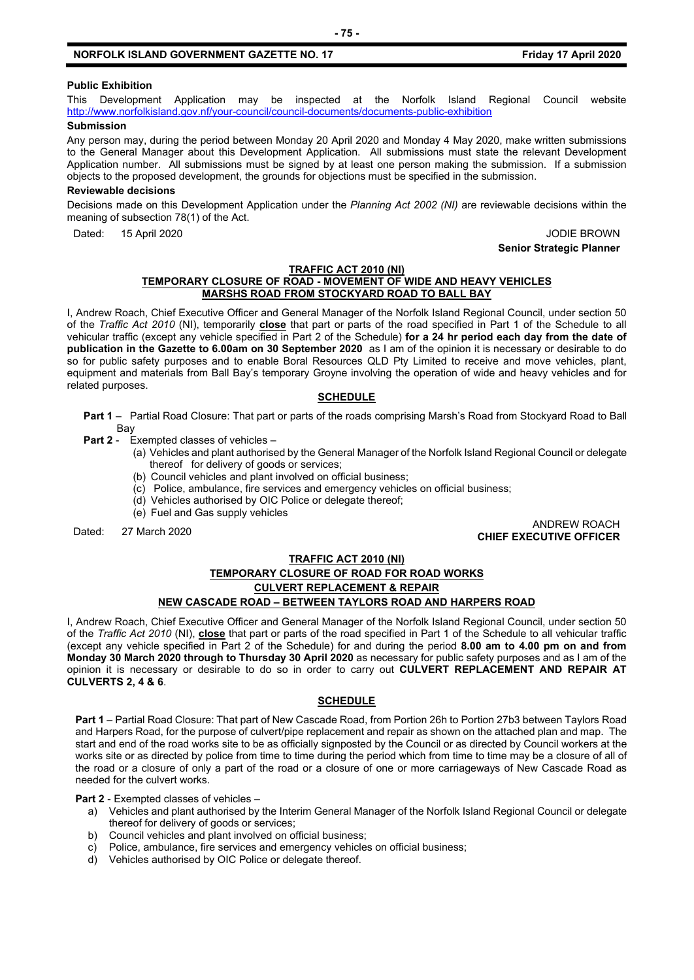### **NORFOLK ISLAND GOVERNMENT GAZETTE NO. 17 FILM APPLIE 12020 Film April 2020**

### **Public Exhibition**

This Development Application may be inspected at the Norfolk Island Regional Council website <http://www.norfolkisland.gov.nf/your-council/council-documents/documents-public-exhibition>

### **Submission**

Any person may, during the period between Monday 20 April 2020 and Monday 4 May 2020, make written submissions to the General Manager about this Development Application. All submissions must state the relevant Development Application number. All submissions must be signed by at least one person making the submission. If a submission objects to the proposed development, the grounds for objections must be specified in the submission.

### **Reviewable decisions**

Decisions made on this Development Application under the *Planning Act 2002 (NI)* are reviewable decisions within the meaning of subsection 78(1) of the Act.

Dated: 15 April 2020 **Dated: 15 April 2020** 

**Senior Strategic Planner**

### **TRAFFIC ACT 2010 (NI) TEMPORARY CLOSURE OF ROAD - MOVEMENT OF WIDE AND HEAVY VEHICLES MARSHS ROAD FROM STOCKYARD ROAD TO BALL BAY**

I, Andrew Roach, Chief Executive Officer and General Manager of the Norfolk Island Regional Council, under section 50 of the *Traffic Act 2010* (NI), temporarily **close** that part or parts of the road specified in Part 1 of the Schedule to all vehicular traffic (except any vehicle specified in Part 2 of the Schedule) **for a 24 hr period each day from the date of publication in the Gazette to 6.00am on 30 September 2020** as I am of the opinion it is necessary or desirable to do so for public safety purposes and to enable Boral Resources QLD Pty Limited to receive and move vehicles, plant, equipment and materials from Ball Bay's temporary Groyne involving the operation of wide and heavy vehicles and for related purposes.

### **SCHEDULE**

- **Part 1** Partial Road Closure: That part or parts of the roads comprising Marsh's Road from Stockyard Road to Ball Bay
- **Part 2** Exempted classes of vehicles
	- (a) Vehicles and plant authorised by the General Manager of the Norfolk Island Regional Council or delegate thereof for delivery of goods or services;
	- (b) Council vehicles and plant involved on official business;
	- (c) Police, ambulance, fire services and emergency vehicles on official business;
	- (d) Vehicles authorised by OIC Police or delegate thereof;
	- (e) Fuel and Gas supply vehicles

# Dated: 27 March 2020 ANDREW ROACH **CHIEF EXECUTIVE OFFICER**

### **TRAFFIC ACT 2010 (NI)**

### **TEMPORARY CLOSURE OF ROAD FOR ROAD WORKS CULVERT REPLACEMENT & REPAIR**

### **NEW CASCADE ROAD – BETWEEN TAYLORS ROAD AND HARPERS ROAD**

I, Andrew Roach, Chief Executive Officer and General Manager of the Norfolk Island Regional Council, under section 50 of the *Traffic Act 2010* (NI), **close** that part or parts of the road specified in Part 1 of the Schedule to all vehicular traffic (except any vehicle specified in Part 2 of the Schedule) for and during the period **8.00 am to 4.00 pm on and from Monday 30 March 2020 through to Thursday 30 April 2020** as necessary for public safety purposes and as I am of the opinion it is necessary or desirable to do so in order to carry out **CULVERT REPLACEMENT AND REPAIR AT CULVERTS 2, 4 & 6**.

### **SCHEDULE**

**Part 1** – Partial Road Closure: That part of New Cascade Road, from Portion 26h to Portion 27b3 between Taylors Road and Harpers Road, for the purpose of culvert/pipe replacement and repair as shown on the attached plan and map. The start and end of the road works site to be as officially signposted by the Council or as directed by Council workers at the works site or as directed by police from time to time during the period which from time to time may be a closure of all of the road or a closure of only a part of the road or a closure of one or more carriageways of New Cascade Road as needed for the culvert works.

**Part 2** - Exempted classes of vehicles –

- a) Vehicles and plant authorised by the Interim General Manager of the Norfolk Island Regional Council or delegate thereof for delivery of goods or services;
- b) Council vehicles and plant involved on official business;
- c) Police, ambulance, fire services and emergency vehicles on official business;
- d) Vehicles authorised by OIC Police or delegate thereof.